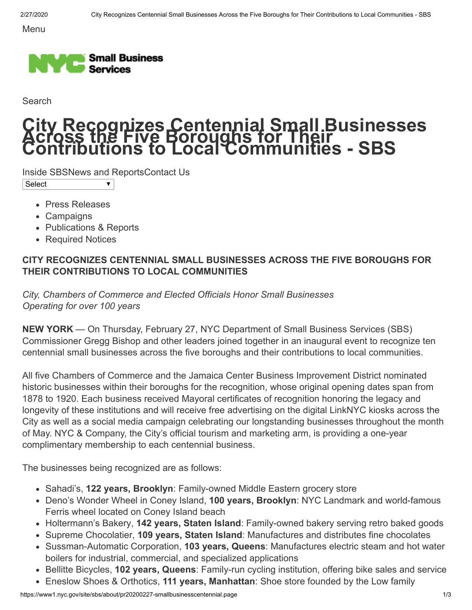Menu



Search

## **City Recognizes Centennial Small Businesses Across the Five Boroughs for Their Contributions to Local Communities - SBS**

[Inside SBS](https://www1.nyc.gov/site/sbs/about/commissioners-message.page)[News and Reports](https://www1.nyc.gov/site/sbs/about/press-releases.page)[Contact Us](https://www1.nyc.gov/site/sbs/about/contact-us.page)  $\overline{\textbf{v}}$ 

Select

- [Press Releases](https://www1.nyc.gov/site/sbs/about/press-releases.page)
- [Campaigns](https://www1.nyc.gov/site/sbs/about/campaigns.page)
- [Publications & Reports](https://www1.nyc.gov/site/sbs/about/publications-reports.page)
- [Required Notices](https://www1.nyc.gov/site/sbs/about/required-notices.page)

## **CITY RECOGNIZES CENTENNIAL SMALL BUSINESSES ACROSS THE FIVE BOROUGHS FOR THEIR CONTRIBUTIONS TO LOCAL COMMUNITIES**

*City, Chambers of Commerce and Elected Officials Honor Small Businesses Operating for over 100 years* 

**NEW YORK** — On Thursday, February 27, NYC Department of Small Business Services (SBS) Commissioner Gregg Bishop and other leaders joined together in an inaugural event to recognize ten centennial small businesses across the five boroughs and their contributions to local communities.

All five Chambers of Commerce and the Jamaica Center Business Improvement District nominated historic businesses within their boroughs for the recognition, whose original opening dates span from 1878 to 1920. Each business received Mayoral certificates of recognition honoring the legacy and longevity of these institutions and will receive free advertising on the digital LinkNYC kiosks across the City as well as a social media campaign celebrating our longstanding businesses throughout the month of May. NYC & Company, the City's official tourism and marketing arm, is providing a one-year complimentary membership to each centennial business.

The businesses being recognized are as follows:

- [Sahadi's,](https://sahadis.com/) **122 years, Brooklyn**: Family-owned Middle Eastern grocery store
- [Deno's Wonder Wheel in Coney Island](https://www.denoswonderwheel.com/), **100 years, Brooklyn**: NYC Landmark and world-famous Ferris wheel located on Coney Island beach
- [Holtermann's Bakery](https://holtermannsbakery.webs.com/), **142 years, Staten Island**: Family-owned bakery serving retro baked goods
- [Supreme Chocolatier,](http://supremechocolatier.com/) **109 years, Staten Island**: Manufactures and distributes fine chocolates
- [Sussman-Automatic Corporation](http://www.sussmanautomaticcorp.com/), **103 years, Queens**: Manufactures electric steam and hot water boilers for industrial, commercial, and specialized applications
- [Bellitte Bicycles](http://www.bellbikes.com/), **102 years, Queens**: Family-run cycling institution, offering bike sales and service
- [Eneslow Shoes & Orthotics](https://www.eneslow.com/), **111 years, Manhattan**: Shoe store founded by the Low family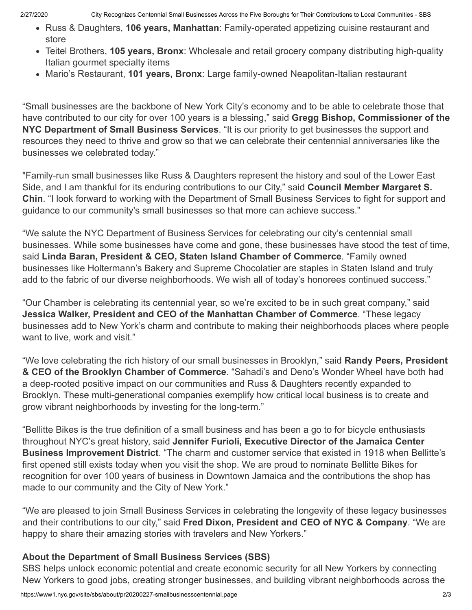- [Russ & Daughters](https://www.russanddaughters.com/), **106 years, Manhattan**: Family-operated appetizing cuisine restaurant and store
- [Teitel Brothers,](https://www.teitelbros.com/) **105 years, Bronx**: Wholesale and retail grocery company distributing high-quality Italian gourmet specialty items
- [Mario's Restaurant,](https://mariosarthurave.com/) **101 years, Bronx**: Large family-owned Neapolitan-Italian restaurant

"Small businesses are the backbone of New York City's economy and to be able to celebrate those that have contributed to our city for over 100 years is a blessing," said **Gregg Bishop, Commissioner of the NYC Department of Small Business Services**. "It is our priority to get businesses the support and resources they need to thrive and grow so that we can celebrate their centennial anniversaries like the businesses we celebrated today."

"Family-run small businesses like Russ & Daughters represent the history and soul of the Lower East Side, and I am thankful for its enduring contributions to our City," said **Council Member Margaret S. Chin**. "I look forward to working with the Department of Small Business Services to fight for support and guidance to our community's small businesses so that more can achieve success."

"We salute the NYC Department of Business Services for celebrating our city's centennial small businesses. While some businesses have come and gone, these businesses have stood the test of time, said **Linda Baran, President & CEO, Staten Island Chamber of Commerce**. "Family owned businesses like Holtermann's Bakery and Supreme Chocolatier are staples in Staten Island and truly add to the fabric of our diverse neighborhoods. We wish all of today's honorees continued success."

"Our Chamber is celebrating its centennial year, so we're excited to be in such great company," said **Jessica Walker, President and CEO of the Manhattan Chamber of Commerce**. "These legacy businesses add to New York's charm and contribute to making their neighborhoods places where people want to live, work and visit."

"We love celebrating the rich history of our small businesses in Brooklyn," said **Randy Peers, President & CEO of the Brooklyn Chamber of Commerce**. "Sahadi's and Deno's Wonder Wheel have both had a deep-rooted positive impact on our communities and Russ & Daughters recently expanded to Brooklyn. These multi-generational companies exemplify how critical local business is to create and grow vibrant neighborhoods by investing for the long-term."

"Bellitte Bikes is the true definition of a small business and has been a go to for bicycle enthusiasts throughout NYC's great history, said **Jennifer Furioli, Executive Director of the Jamaica Center Business Improvement District**. "The charm and customer service that existed in 1918 when Bellitte's first opened still exists today when you visit the shop. We are proud to nominate Bellitte Bikes for recognition for over 100 years of business in Downtown Jamaica and the contributions the shop has made to our community and the City of New York."

"We are pleased to join Small Business Services in celebrating the longevity of these legacy businesses and their contributions to our city," said **Fred Dixon, President and CEO of NYC & Company**. "We are happy to share their amazing stories with travelers and New Yorkers."

## **About the Department of Small Business Services (SBS)**

SBS helps unlock economic potential and create economic security for all New Yorkers by connecting New Yorkers to good jobs, creating stronger businesses, and building vibrant neighborhoods across the